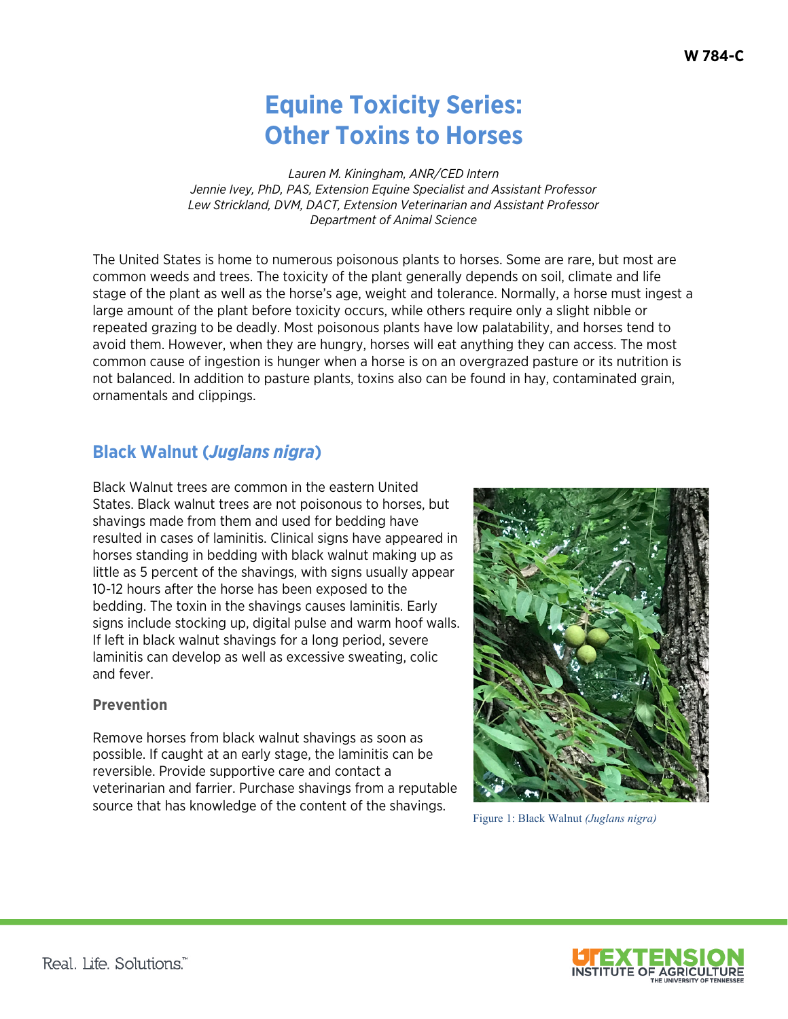# **Equine Toxicity Series: Other Toxins to Horses**

*Lauren M. Kiningham, ANR/CED Intern Jennie Ivey, PhD, PAS, Extension Equine Specialist and Assistant Professor Lew Strickland, DVM, DACT, Extension Veterinarian and Assistant Professor Department of Animal Science*

The United States is home to numerous poisonous plants to horses. Some are rare, but most are common weeds and trees. The toxicity of the plant generally depends on soil, climate and life stage of the plant as well as the horse's age, weight and tolerance. Normally, a horse must ingest a large amount of the plant before toxicity occurs, while others require only a slight nibble or repeated grazing to be deadly. Most poisonous plants have low palatability, and horses tend to avoid them. However, when they are hungry, horses will eat anything they can access. The most common cause of ingestion is hunger when a horse is on an overgrazed pasture or its nutrition is not balanced. In addition to pasture plants, toxins also can be found in hay, contaminated grain, ornamentals and clippings.

# **Black Walnut (***Juglans nigra***)**

Black Walnut trees are common in the eastern United States. Black walnut trees are not poisonous to horses, but shavings made from them and used for bedding have resulted in cases of laminitis. Clinical signs have appeared in horses standing in bedding with black walnut making up as little as 5 percent of the shavings, with signs usually appear 10-12 hours after the horse has been exposed to the bedding. The toxin in the shavings causes laminitis. Early signs include stocking up, digital pulse and warm hoof walls. If left in black walnut shavings for a long period, severe laminitis can develop as well as excessive sweating, colic and fever.

#### **Prevention**

Remove horses from black walnut shavings as soon as possible. If caught at an early stage, the laminitis can be reversible. Provide supportive care and contact a veterinarian and farrier. Purchase shavings from a reputable source that has knowledge of the content of the shavings.



Figure 1: Black Walnut *(Juglans nigra)*

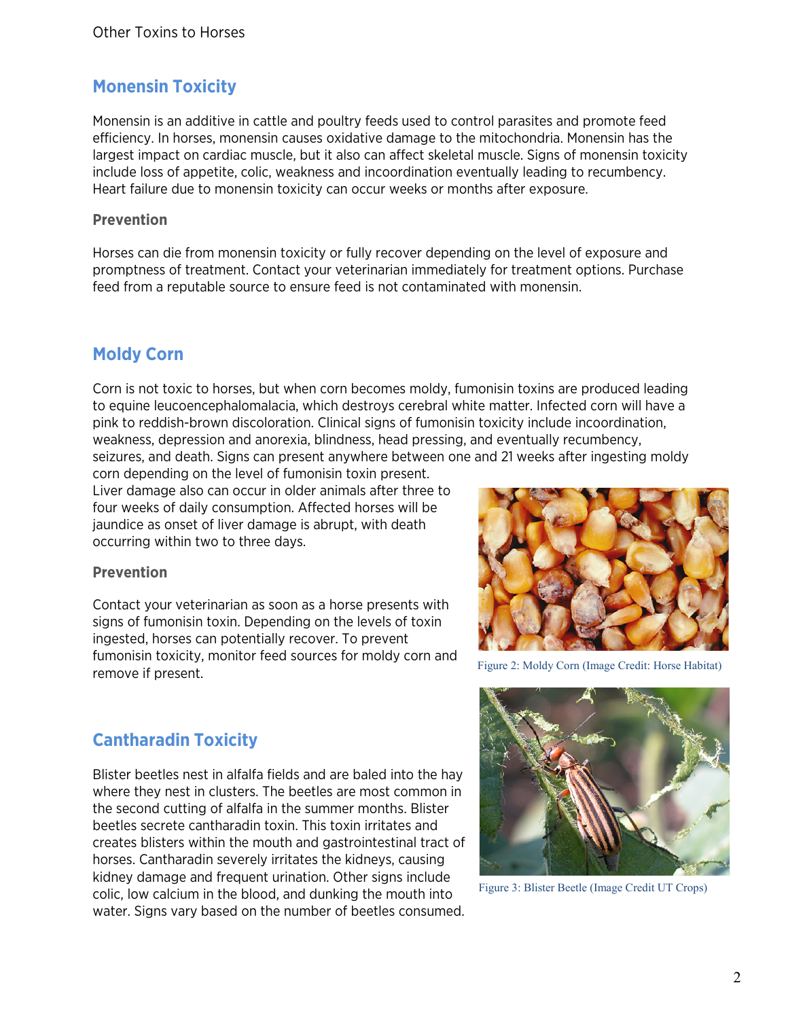# **Monensin Toxicity**

Monensin is an additive in cattle and poultry feeds used to control parasites and promote feed efficiency. In horses, monensin causes oxidative damage to the mitochondria. Monensin has the largest impact on cardiac muscle, but it also can affect skeletal muscle. Signs of monensin toxicity include loss of appetite, colic, weakness and incoordination eventually leading to recumbency. Heart failure due to monensin toxicity can occur weeks or months after exposure.

#### **Prevention**

Horses can die from monensin toxicity or fully recover depending on the level of exposure and promptness of treatment. Contact your veterinarian immediately for treatment options. Purchase feed from a reputable source to ensure feed is not contaminated with monensin.

### **Moldy Corn**

Corn is not toxic to horses, but when corn becomes moldy, fumonisin toxins are produced leading to equine leucoencephalomalacia, which destroys cerebral white matter. Infected corn will have a pink to reddish-brown discoloration. Clinical signs of fumonisin toxicity include incoordination, weakness, depression and anorexia, blindness, head pressing, and eventually recumbency, seizures, and death. Signs can present anywhere between one and 21 weeks after ingesting moldy

corn depending on the level of fumonisin toxin present. Liver damage also can occur in older animals after three to four weeks of daily consumption. Affected horses will be jaundice as onset of liver damage is abrupt, with death occurring within two to three days.

#### **Prevention**

Contact your veterinarian as soon as a horse presents with signs of fumonisin toxin. Depending on the levels of toxin ingested, horses can potentially recover. To prevent fumonisin toxicity, monitor feed sources for moldy corn and remove if present.



Figure 2: Moldy Corn (Image Credit: Horse Habitat)

## **Cantharadin Toxicity**

Blister beetles nest in alfalfa fields and are baled into the hay where they nest in clusters. The beetles are most common in the second cutting of alfalfa in the summer months. Blister beetles secrete cantharadin toxin. This toxin irritates and creates blisters within the mouth and gastrointestinal tract of horses. Cantharadin severely irritates the kidneys, causing kidney damage and frequent urination. Other signs include colic, low calcium in the blood, and dunking the mouth into water. Signs vary based on the number of beetles consumed.



Figure 3: Blister Beetle (Image Credit UT Crops)